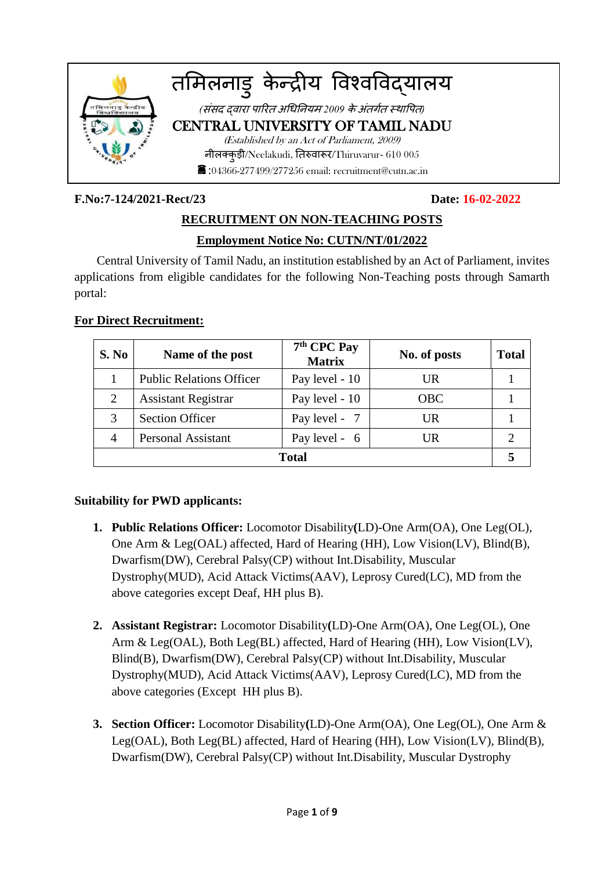

### **F.No:7-124/2021-Rect/23 Date: 16-02-2022**

# **RECRUITMENT ON NON-TEACHING POSTS Employment Notice No: CUTN/NT/01/2022**

Central University of Tamil Nadu, an institution established by an Act of Parliament, invites applications from eligible candidates for the following Non-Teaching posts through Samarth portal:

# **For Direct Recruitment:**

| S. No          | Name of the post                                 | $7th$ CPC Pay<br><b>Matrix</b> | No. of posts | <b>Total</b> |  |  |
|----------------|--------------------------------------------------|--------------------------------|--------------|--------------|--|--|
|                | <b>Public Relations Officer</b>                  | Pay level - 10                 | UR           |              |  |  |
| $\overline{2}$ | <b>Assistant Registrar</b>                       | Pay level - 10                 | <b>OBC</b>   |              |  |  |
| 3              | <b>Section Officer</b>                           | Pay level - 7                  | UR           |              |  |  |
| $\overline{A}$ | <b>Personal Assistant</b><br>Pay level - 6<br>UR |                                |              |              |  |  |
| <b>Total</b>   |                                                  |                                |              |              |  |  |

# **Suitability for PWD applicants:**

- **1. Public Relations Officer:** Locomotor Disability**(**LD)-One Arm(OA), One Leg(OL), One Arm & Leg(OAL) affected, Hard of Hearing (HH), Low Vision(LV), Blind(B), Dwarfism(DW), Cerebral Palsy(CP) without Int.Disability, Muscular Dystrophy(MUD), Acid Attack Victims(AAV), Leprosy Cured(LC), MD from the above categories except Deaf, HH plus B).
- **2. Assistant Registrar:** Locomotor Disability**(**LD)-One Arm(OA), One Leg(OL), One Arm & Leg(OAL), Both Leg(BL) affected, Hard of Hearing (HH), Low Vision(LV), Blind(B), Dwarfism(DW), Cerebral Palsy(CP) without Int.Disability, Muscular Dystrophy(MUD), Acid Attack Victims(AAV), Leprosy Cured(LC), MD from the above categories (Except HH plus B).
- **3. Section Officer:** Locomotor Disability**(**LD)-One Arm(OA), One Leg(OL), One Arm & Leg(OAL), Both Leg(BL) affected, Hard of Hearing (HH), Low Vision(LV), Blind(B), Dwarfism(DW), Cerebral Palsy(CP) without Int.Disability, Muscular Dystrophy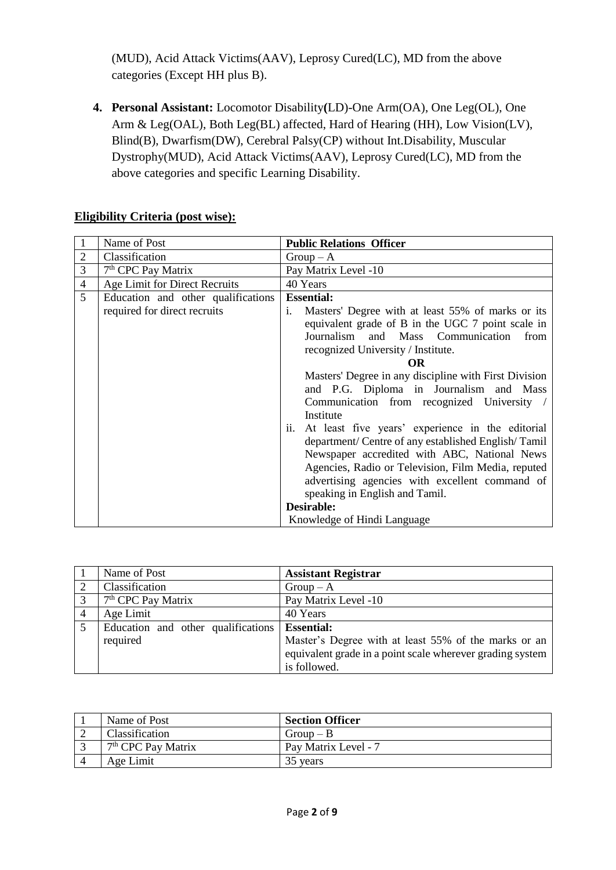(MUD), Acid Attack Victims(AAV), Leprosy Cured(LC), MD from the above categories (Except HH plus B).

**4. Personal Assistant:** Locomotor Disability**(**LD)-One Arm(OA), One Leg(OL), One Arm & Leg(OAL), Both Leg(BL) affected, Hard of Hearing (HH), Low Vision(LV), Blind(B), Dwarfism(DW), Cerebral Palsy(CP) without Int.Disability, Muscular Dystrophy(MUD), Acid Attack Victims(AAV), Leprosy Cured(LC), MD from the above categories and specific Learning Disability.

|  |  | <b>Eligibility Criteria (post wise):</b> |  |
|--|--|------------------------------------------|--|
|--|--|------------------------------------------|--|

|                | Name of Post                       | <b>Public Relations Officer</b>                         |  |  |  |  |
|----------------|------------------------------------|---------------------------------------------------------|--|--|--|--|
| 2              | Classification                     | $Group-A$                                               |  |  |  |  |
| 3              | 7 <sup>th</sup> CPC Pay Matrix     | Pay Matrix Level -10                                    |  |  |  |  |
| $\overline{4}$ | Age Limit for Direct Recruits      | 40 Years                                                |  |  |  |  |
| 5              | Education and other qualifications | <b>Essential:</b>                                       |  |  |  |  |
|                | required for direct recruits       | Masters' Degree with at least 55% of marks or its<br>i. |  |  |  |  |
|                |                                    | equivalent grade of B in the UGC 7 point scale in       |  |  |  |  |
|                |                                    | Journalism and Mass Communication<br>from               |  |  |  |  |
|                |                                    | recognized University / Institute.                      |  |  |  |  |
|                |                                    | <b>OR</b>                                               |  |  |  |  |
|                |                                    | Masters' Degree in any discipline with First Division   |  |  |  |  |
|                |                                    | and P.G. Diploma in Journalism and Mass                 |  |  |  |  |
|                |                                    | Communication from recognized University                |  |  |  |  |
|                |                                    | Institute                                               |  |  |  |  |
|                |                                    | At least five years' experience in the editorial<br>ii. |  |  |  |  |
|                |                                    | department/ Centre of any established English/Tamil     |  |  |  |  |
|                |                                    | Newspaper accredited with ABC, National News            |  |  |  |  |
|                |                                    | Agencies, Radio or Television, Film Media, reputed      |  |  |  |  |
|                |                                    | advertising agencies with excellent command of          |  |  |  |  |
|                |                                    | speaking in English and Tamil.                          |  |  |  |  |
|                |                                    | Desirable:                                              |  |  |  |  |
|                |                                    | Knowledge of Hindi Language                             |  |  |  |  |

|                | Name of Post                       | <b>Assistant Registrar</b>                                                                                        |
|----------------|------------------------------------|-------------------------------------------------------------------------------------------------------------------|
| ↑              | Classification                     | $Group-A$                                                                                                         |
| 3              | 7 <sup>th</sup> CPC Pay Matrix     | Pay Matrix Level -10                                                                                              |
| $\overline{4}$ | Age Limit                          | 40 Years                                                                                                          |
|                | Education and other qualifications | <b>Essential:</b>                                                                                                 |
|                | required                           | Master's Degree with at least 55% of the marks or an<br>equivalent grade in a point scale wherever grading system |
|                |                                    | is followed.                                                                                                      |

| Name of Post                   | <b>Section Officer</b> |
|--------------------------------|------------------------|
| <b>Classification</b>          | $Group-B$              |
| 7 <sup>th</sup> CPC Pay Matrix | Pay Matrix Level - 7   |
| Age Limit                      | 35 years               |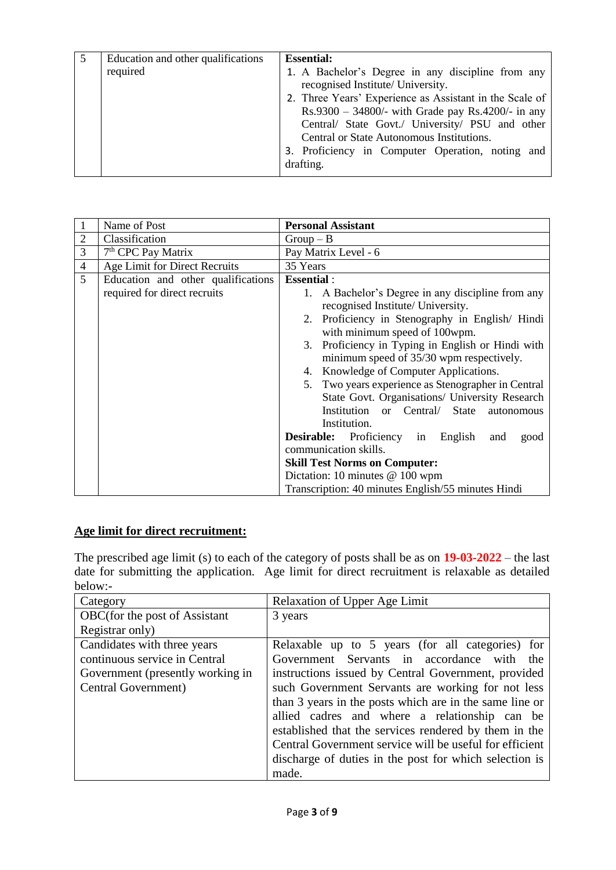|  | Education and other qualifications<br>required | <b>Essential:</b><br>1. A Bachelor's Degree in any discipline from any<br>recognised Institute/ University.<br>2. Three Years' Experience as Assistant in the Scale of<br>$Rs.9300 - 34800/$ - with Grade pay $Rs.4200/$ - in any<br>Central/ State Govt./ University/ PSU and other<br>Central or State Autonomous Institutions.<br>3. Proficiency in Computer Operation, noting and<br>drafting. |
|--|------------------------------------------------|----------------------------------------------------------------------------------------------------------------------------------------------------------------------------------------------------------------------------------------------------------------------------------------------------------------------------------------------------------------------------------------------------|
|--|------------------------------------------------|----------------------------------------------------------------------------------------------------------------------------------------------------------------------------------------------------------------------------------------------------------------------------------------------------------------------------------------------------------------------------------------------------|

|                | Name of Post                       | <b>Personal Assistant</b>                               |  |  |  |  |  |
|----------------|------------------------------------|---------------------------------------------------------|--|--|--|--|--|
| $\overline{2}$ | Classification                     | $Group - B$                                             |  |  |  |  |  |
| 3              | 7 <sup>th</sup> CPC Pay Matrix     | Pay Matrix Level - 6                                    |  |  |  |  |  |
| $\overline{4}$ | Age Limit for Direct Recruits      | 35 Years                                                |  |  |  |  |  |
| 5              | Education and other qualifications | <b>Essential:</b>                                       |  |  |  |  |  |
|                | required for direct recruits       | A Bachelor's Degree in any discipline from any<br>1.    |  |  |  |  |  |
|                |                                    | recognised Institute/ University.                       |  |  |  |  |  |
|                |                                    | 2. Proficiency in Stenography in English/Hindi          |  |  |  |  |  |
|                |                                    | with minimum speed of 100wpm.                           |  |  |  |  |  |
|                |                                    | Proficiency in Typing in English or Hindi with<br>3.    |  |  |  |  |  |
|                |                                    | minimum speed of 35/30 wpm respectively.                |  |  |  |  |  |
|                |                                    | Knowledge of Computer Applications.<br>4.               |  |  |  |  |  |
|                |                                    | 5. Two years experience as Stenographer in Central      |  |  |  |  |  |
|                |                                    | State Govt. Organisations/ University Research          |  |  |  |  |  |
|                |                                    | Institution or<br>Central/<br>State<br>autonomous       |  |  |  |  |  |
|                |                                    | Institution.                                            |  |  |  |  |  |
|                |                                    | <b>Desirable:</b> Proficiency in English<br>and<br>good |  |  |  |  |  |
|                |                                    | communication skills.                                   |  |  |  |  |  |
|                |                                    | <b>Skill Test Norms on Computer:</b>                    |  |  |  |  |  |
|                |                                    | Dictation: 10 minutes @ 100 wpm                         |  |  |  |  |  |
|                |                                    | Transcription: 40 minutes English/55 minutes Hindi      |  |  |  |  |  |

# **Age limit for direct recruitment:**

The prescribed age limit (s) to each of the category of posts shall be as on **19-03-2022** – the last date for submitting the application. Age limit for direct recruitment is relaxable as detailed below:-

| Category                         | <b>Relaxation of Upper Age Limit</b>                    |  |  |  |
|----------------------------------|---------------------------------------------------------|--|--|--|
| OBC(for the post of Assistant    | 3 years                                                 |  |  |  |
| Registrar only)                  |                                                         |  |  |  |
| Candidates with three years      | Relaxable up to 5 years (for all categories) for        |  |  |  |
| continuous service in Central    | Government Servants in accordance with the              |  |  |  |
| Government (presently working in | instructions issued by Central Government, provided     |  |  |  |
| Central Government)              | such Government Servants are working for not less       |  |  |  |
|                                  | than 3 years in the posts which are in the same line or |  |  |  |
|                                  | allied cadres and where a relationship can be           |  |  |  |
|                                  | established that the services rendered by them in the   |  |  |  |
|                                  | Central Government service will be useful for efficient |  |  |  |
|                                  | discharge of duties in the post for which selection is  |  |  |  |
|                                  | made.                                                   |  |  |  |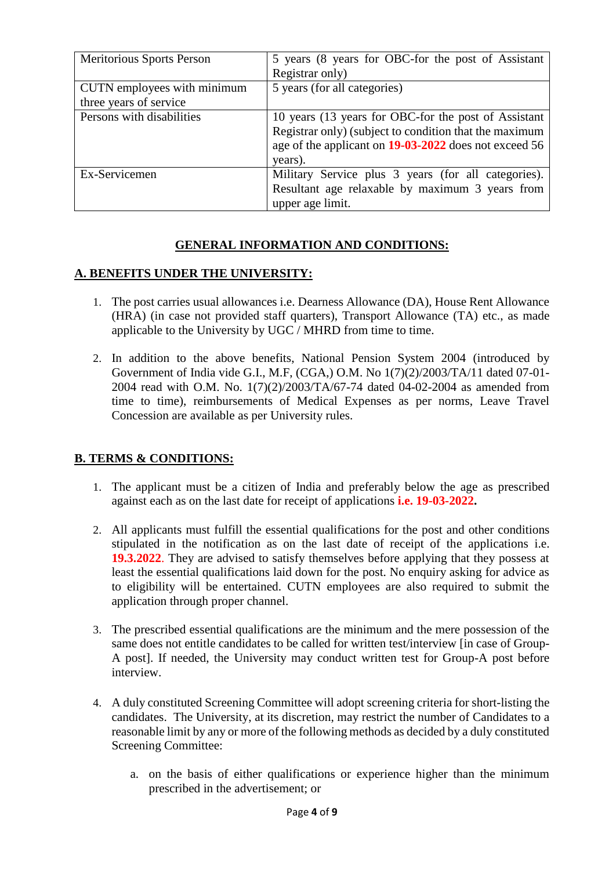| Meritorious Sports Person                             | 5 years (8 years for OBC-for the post of Assistant<br>Registrar only)                                                                                                              |
|-------------------------------------------------------|------------------------------------------------------------------------------------------------------------------------------------------------------------------------------------|
| CUTN employees with minimum<br>three years of service | 5 years (for all categories)                                                                                                                                                       |
| Persons with disabilities                             | 10 years (13 years for OBC-for the post of Assistant<br>Registrar only) (subject to condition that the maximum<br>age of the applicant on 19-03-2022 does not exceed 56<br>years). |
| Ex-Servicemen                                         | Military Service plus 3 years (for all categories).<br>Resultant age relaxable by maximum 3 years from<br>upper age limit.                                                         |

# **GENERAL INFORMATION AND CONDITIONS:**

### **A. BENEFITS UNDER THE UNIVERSITY:**

- 1. The post carries usual allowances i.e. Dearness Allowance (DA), House Rent Allowance (HRA) (in case not provided staff quarters), Transport Allowance (TA) etc., as made applicable to the University by UGC / MHRD from time to time.
- 2. In addition to the above benefits, National Pension System 2004 (introduced by Government of India vide G.I., M.F, (CGA,) O.M. No 1(7)(2)/2003/TA/11 dated 07-01- 2004 read with O.M. No. 1(7)(2)/2003/TA/67-74 dated 04-02-2004 as amended from time to time), reimbursements of Medical Expenses as per norms, Leave Travel Concession are available as per University rules.

### **B. TERMS & CONDITIONS:**

- 1. The applicant must be a citizen of India and preferably below the age as prescribed against each as on the last date for receipt of applications **i.e. 19-03-2022.**
- 2. All applicants must fulfill the essential qualifications for the post and other conditions stipulated in the notification as on the last date of receipt of the applications i.e. **19.3.2022**. They are advised to satisfy themselves before applying that they possess at least the essential qualifications laid down for the post. No enquiry asking for advice as to eligibility will be entertained. CUTN employees are also required to submit the application through proper channel.
- 3. The prescribed essential qualifications are the minimum and the mere possession of the same does not entitle candidates to be called for written test/interview [in case of Group-A post]. If needed, the University may conduct written test for Group-A post before interview.
- 4. A duly constituted Screening Committee will adopt screening criteria for short-listing the candidates. The University, at its discretion, may restrict the number of Candidates to a reasonable limit by any or more of the following methods as decided by a duly constituted Screening Committee:
	- a. on the basis of either qualifications or experience higher than the minimum prescribed in the advertisement; or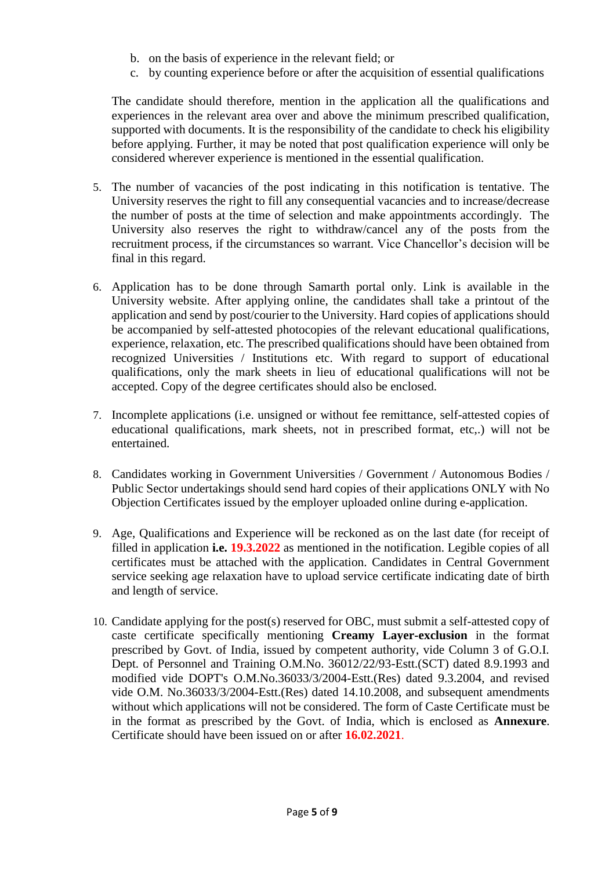- b. on the basis of experience in the relevant field; or
- c. by counting experience before or after the acquisition of essential qualifications

The candidate should therefore, mention in the application all the qualifications and experiences in the relevant area over and above the minimum prescribed qualification, supported with documents. It is the responsibility of the candidate to check his eligibility before applying. Further, it may be noted that post qualification experience will only be considered wherever experience is mentioned in the essential qualification.

- 5. The number of vacancies of the post indicating in this notification is tentative. The University reserves the right to fill any consequential vacancies and to increase/decrease the number of posts at the time of selection and make appointments accordingly. The University also reserves the right to withdraw/cancel any of the posts from the recruitment process, if the circumstances so warrant. Vice Chancellor's decision will be final in this regard.
- 6. Application has to be done through Samarth portal only. Link is available in the University website. After applying online, the candidates shall take a printout of the application and send by post/courier to the University. Hard copies of applications should be accompanied by self-attested photocopies of the relevant educational qualifications, experience, relaxation, etc. The prescribed qualifications should have been obtained from recognized Universities / Institutions etc. With regard to support of educational qualifications, only the mark sheets in lieu of educational qualifications will not be accepted. Copy of the degree certificates should also be enclosed.
- 7. Incomplete applications (i.e. unsigned or without fee remittance, self-attested copies of educational qualifications, mark sheets, not in prescribed format, etc,.) will not be entertained.
- 8. Candidates working in Government Universities / Government / Autonomous Bodies / Public Sector undertakings should send hard copies of their applications ONLY with No Objection Certificates issued by the employer uploaded online during e-application.
- 9. Age, Qualifications and Experience will be reckoned as on the last date (for receipt of filled in application **i.e. 19.3.2022** as mentioned in the notification. Legible copies of all certificates must be attached with the application. Candidates in Central Government service seeking age relaxation have to upload service certificate indicating date of birth and length of service.
- 10. Candidate applying for the post(s) reserved for OBC, must submit a self-attested copy of caste certificate specifically mentioning **Creamy Layer-exclusion** in the format prescribed by Govt. of India, issued by competent authority, vide Column 3 of G.O.I. Dept. of Personnel and Training O.M.No. 36012/22/93-Estt.(SCT) dated 8.9.1993 and modified vide DOPT's O.M.No.36033/3/2004-Estt.(Res) dated 9.3.2004, and revised vide O.M. No.36033/3/2004-Estt.(Res) dated 14.10.2008, and subsequent amendments without which applications will not be considered. The form of Caste Certificate must be in the format as prescribed by the Govt. of India, which is enclosed as **Annexure**. Certificate should have been issued on or after **16.02.2021**.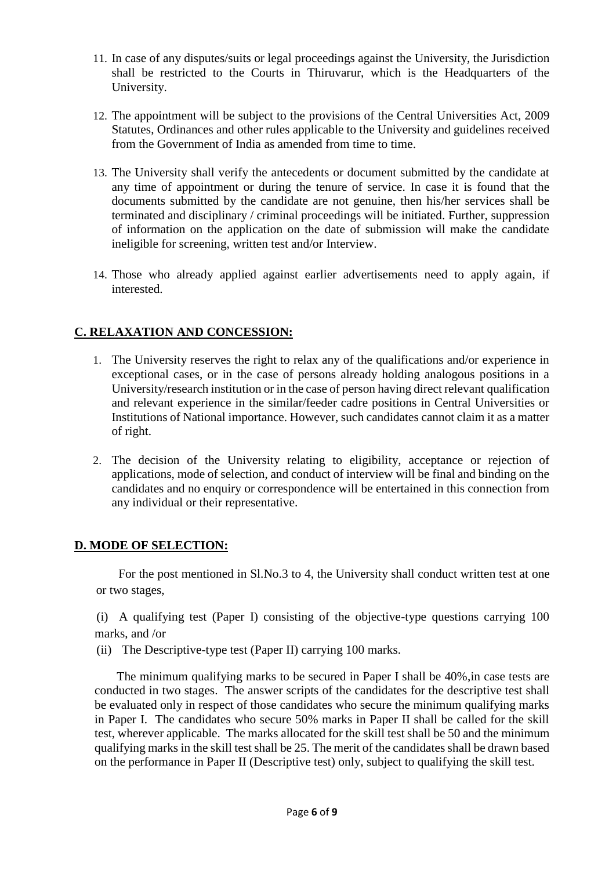- 11. In case of any disputes/suits or legal proceedings against the University, the Jurisdiction shall be restricted to the Courts in Thiruvarur, which is the Headquarters of the University.
- 12. The appointment will be subject to the provisions of the Central Universities Act, 2009 Statutes, Ordinances and other rules applicable to the University and guidelines received from the Government of India as amended from time to time.
- 13. The University shall verify the antecedents or document submitted by the candidate at any time of appointment or during the tenure of service. In case it is found that the documents submitted by the candidate are not genuine, then his/her services shall be terminated and disciplinary / criminal proceedings will be initiated. Further, suppression of information on the application on the date of submission will make the candidate ineligible for screening, written test and/or Interview.
- 14. Those who already applied against earlier advertisements need to apply again, if interested.

# **C. RELAXATION AND CONCESSION:**

- 1. The University reserves the right to relax any of the qualifications and/or experience in exceptional cases, or in the case of persons already holding analogous positions in a University/research institution or in the case of person having direct relevant qualification and relevant experience in the similar/feeder cadre positions in Central Universities or Institutions of National importance. However, such candidates cannot claim it as a matter of right.
- 2. The decision of the University relating to eligibility, acceptance or rejection of applications, mode of selection, and conduct of interview will be final and binding on the candidates and no enquiry or correspondence will be entertained in this connection from any individual or their representative.

### **D. MODE OF SELECTION:**

For the post mentioned in Sl.No.3 to 4, the University shall conduct written test at one or two stages,

(i) A qualifying test (Paper I) consisting of the objective-type questions carrying 100 marks, and /or

(ii) The Descriptive-type test (Paper II) carrying 100 marks.

The minimum qualifying marks to be secured in Paper I shall be 40%,in case tests are conducted in two stages. The answer scripts of the candidates for the descriptive test shall be evaluated only in respect of those candidates who secure the minimum qualifying marks in Paper I. The candidates who secure 50% marks in Paper II shall be called for the skill test, wherever applicable. The marks allocated for the skill test shall be 50 and the minimum qualifying marks in the skill test shall be 25. The merit of the candidates shall be drawn based on the performance in Paper II (Descriptive test) only, subject to qualifying the skill test.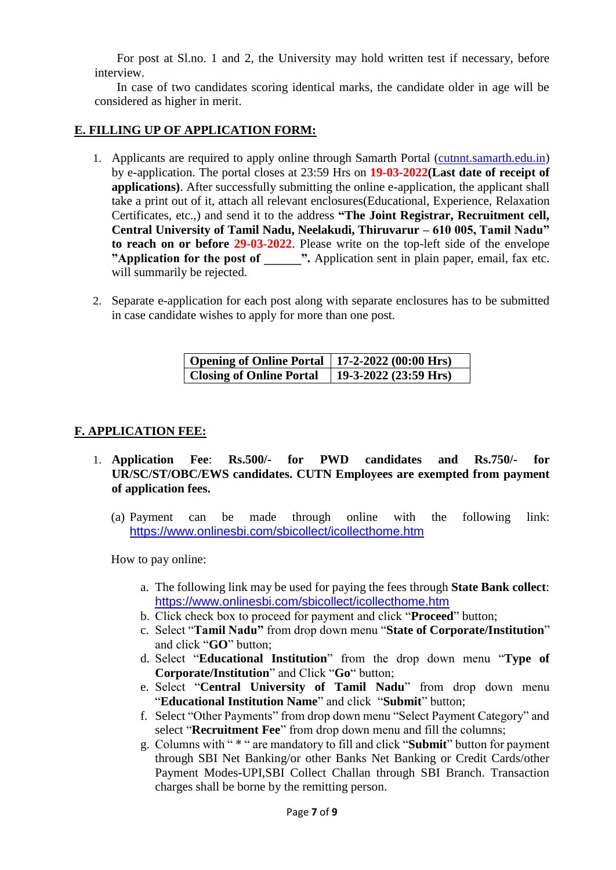For post at Sl.no. 1 and 2, the University may hold written test if necessary, before interview.

In case of two candidates scoring identical marks, the candidate older in age will be considered as higher in merit.

#### **E. FILLING UP OF APPLICATION FORM:**

- 1. Applicants are required to apply online through Samarth Portal [\(cutnnt.samarth.edu.in\)](https://cutnnt.samarth.edu.in/index.php/site/login) by e-application. The portal closes at 23:59 Hrs on **19-03-2022(Last date of receipt of applications**). After successfully submitting the online e-application, the applicant shall take a print out of it, attach all relevant enclosures(Educational, Experience, Relaxation Certificates, etc.,) and send it to the address **"The Joint Registrar, Recruitment cell, Central University of Tamil Nadu, Neelakudi, Thiruvarur – 610 005, Tamil Nadu" to reach on or before 29-03-2022**. Please write on the top-left side of the envelope **"Application for the post of**  $\blacksquare$ **".** Application sent in plain paper, email, fax etc. will summarily be rejected.
- 2. Separate e-application for each post along with separate enclosures has to be submitted in case candidate wishes to apply for more than one post.

| <b>Opening of Online Portal</b> | $17-2-2022(00:00 \text{ Hrs})$ |
|---------------------------------|--------------------------------|
| <b>Closing of Online Portal</b> | 19-3-2022 (23:59 Hrs)          |

#### **F. APPLICATION FEE:**

- 1. **Application Fee**: **Rs.500/- for PWD candidates and Rs.750/- for UR/SC/ST/OBC/EWS candidates. CUTN Employees are exempted from payment of application fees.**
	- (a) Payment can be made through online with the following link: <https://www.onlinesbi.com/sbicollect/icollecthome.htm>

How to pay online:

- a. The following link may be used for paying the fees through **State Bank collect**: <https://www.onlinesbi.com/sbicollect/icollecthome.htm>
- b. Click check box to proceed for payment and click "**Proceed**" button;
- c. Select "**Tamil Nadu"** from drop down menu "**State of Corporate/Institution**" and click "**GO**" button;
- d. Select "**Educational Institution**" from the drop down menu "**Type of Corporate/Institution**" and Click "**Go**" button;
- e. Select "**Central University of Tamil Nadu**" from drop down menu "**Educational Institution Name**" and click "**Submit**" button;
- f. Select "Other Payments" from drop down menu "Select Payment Category" and select "**Recruitment Fee**" from drop down menu and fill the columns;
- g. Columns with " \* " are mandatory to fill and click "**Submit**" button for payment through SBI Net Banking/or other Banks Net Banking or Credit Cards/other Payment Modes-UPI,SBI Collect Challan through SBI Branch. Transaction charges shall be borne by the remitting person.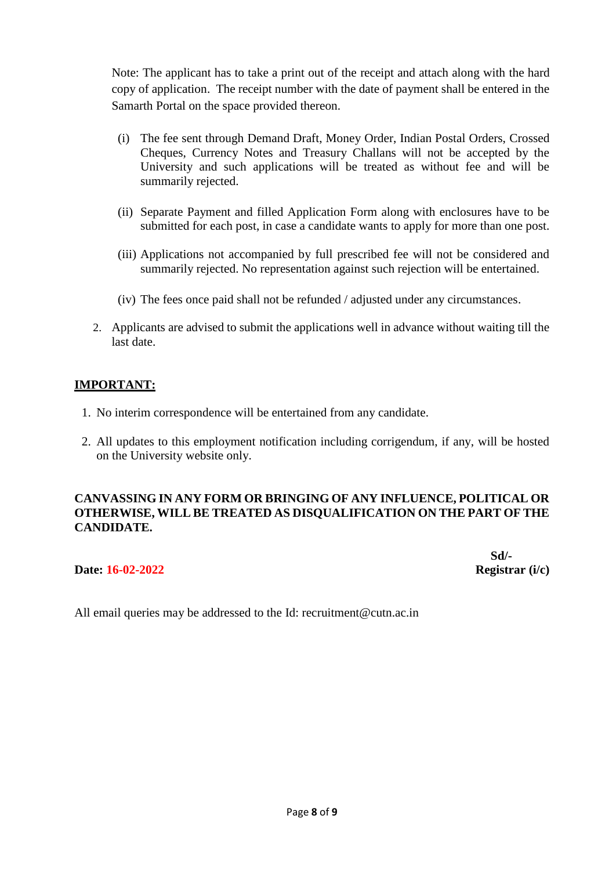Note: The applicant has to take a print out of the receipt and attach along with the hard copy of application. The receipt number with the date of payment shall be entered in the Samarth Portal on the space provided thereon.

- (i) The fee sent through Demand Draft, Money Order, Indian Postal Orders, Crossed Cheques, Currency Notes and Treasury Challans will not be accepted by the University and such applications will be treated as without fee and will be summarily rejected.
- (ii) Separate Payment and filled Application Form along with enclosures have to be submitted for each post, in case a candidate wants to apply for more than one post.
- (iii) Applications not accompanied by full prescribed fee will not be considered and summarily rejected. No representation against such rejection will be entertained.
- (iv) The fees once paid shall not be refunded / adjusted under any circumstances.
- 2. Applicants are advised to submit the applications well in advance without waiting till the last date.

#### **IMPORTANT:**

- 1. No interim correspondence will be entertained from any candidate.
- 2. All updates to this employment notification including corrigendum, if any, will be hosted on the University website only.

### **CANVASSING IN ANY FORM OR BRINGING OF ANY INFLUENCE, POLITICAL OR OTHERWISE, WILL BE TREATED AS DISQUALIFICATION ON THE PART OF THE CANDIDATE.**

#### **Date: 16-02-2022 Registrar (i/c)**

**Sd/-**

All email queries may be addressed to the Id: recruitment@cutn.ac.in